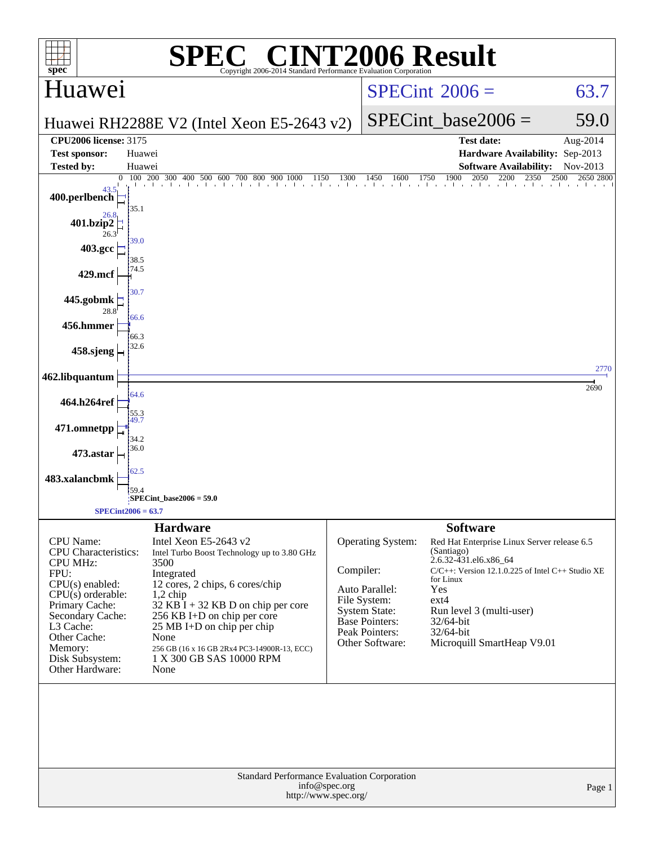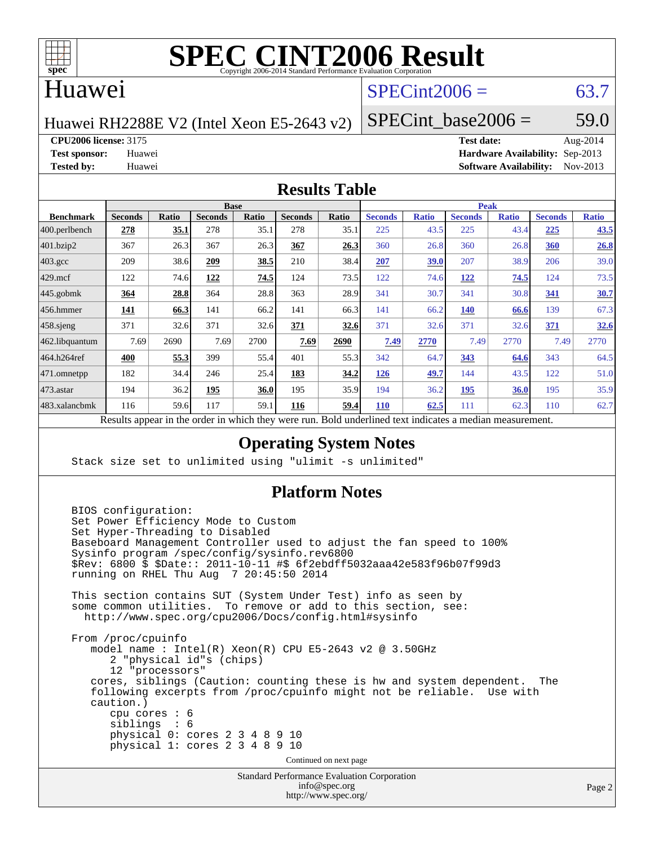

# **[SPEC CINT2006 Result](http://www.spec.org/auto/cpu2006/Docs/result-fields.html#SPECCINT2006Result)**

# Huawei

# $SPECint2006 = 63.7$  $SPECint2006 = 63.7$

Huawei RH2288E V2 (Intel Xeon E5-2643 v2)

SPECint base2006 =  $59.0$ 

**[CPU2006 license:](http://www.spec.org/auto/cpu2006/Docs/result-fields.html#CPU2006license)** 3175 **[Test date:](http://www.spec.org/auto/cpu2006/Docs/result-fields.html#Testdate)** Aug-2014

**[Test sponsor:](http://www.spec.org/auto/cpu2006/Docs/result-fields.html#Testsponsor)** Huawei **[Hardware Availability:](http://www.spec.org/auto/cpu2006/Docs/result-fields.html#HardwareAvailability)** Sep-2013 **[Tested by:](http://www.spec.org/auto/cpu2006/Docs/result-fields.html#Testedby)** Huawei **[Software Availability:](http://www.spec.org/auto/cpu2006/Docs/result-fields.html#SoftwareAvailability)** Nov-2013

#### **[Results Table](http://www.spec.org/auto/cpu2006/Docs/result-fields.html#ResultsTable)**

| <b>Base</b>    |                     |                 |       |                |       | <b>Peak</b>    |              |                |              |                |              |
|----------------|---------------------|-----------------|-------|----------------|-------|----------------|--------------|----------------|--------------|----------------|--------------|
| <b>Seconds</b> | Ratio               | <b>Seconds</b>  | Ratio | <b>Seconds</b> | Ratio | <b>Seconds</b> | <b>Ratio</b> | <b>Seconds</b> | <b>Ratio</b> | <b>Seconds</b> | <b>Ratio</b> |
| 278            | 35.1                | 278             | 35.1  | 278            | 35.1  | 225            | 43.5         | 225            | 43.4         | 225            | 43.5         |
| 367            | 26.3                | 367             | 26.3  | 367            | 26.3  | 360            | 26.8         | 360            | 26.8         | 360            | 26.8         |
| 209            | 38.6                | 209             | 38.5  | 210            | 38.4  | 207            | 39.0         | 207            | 38.9         | 206            | 39.0         |
| 122            | 74.6                | 122             | 74.5  | 124            | 73.5  | 122            | 74.6         | 122            | 74.5         | 124            | 73.5         |
| 364            | 28.8                | 364             | 28.8  | 363            | 28.9  | 341            | 30.7         | 341            | 30.8         | 341            | 30.7         |
| <u> 141</u>    | 66.3                | 141             | 66.2  | 141            | 66.3  | 141            | 66.2         | 140            | 66.6         | 139            | 67.3         |
| 371            | 32.6                | 371             | 32.6  | 371            | 32.6  | 371            | 32.6         | 371            | 32.6         | 371            | 32.6         |
| 7.69           | 2690                | 7.69            | 2700  | 7.69           | 2690  | 7.49           | 2770         | 7.49           | 2770         | 7.49           | 2770         |
| 400            | 55.3                | 399             | 55.4  | 401            | 55.3  | 342            | 64.7         | 343            | 64.6         | 343            | 64.5         |
| 182            | 34.4                | 246             | 25.4  | 183            | 34.2  | 126            | 49.7         | 144            | 43.5         | 122            | 51.0         |
| 194            | 36.2                | 195             | 36.0  | 195            | 35.9  | 194            | 36.2         | <u>195</u>     | 36.0         | 195            | 35.9         |
| 116            | 59.6                | 117             | 59.1  | 116            | 59.4  | <b>110</b>     | 62.5         | 111            | 62.3         | 110            | 62.7         |
|                | <sub>n</sub><br>1.1 | $\cdot$ $\cdot$ |       | 1.1.1          |       |                |              | $\cdot$        | $\mathbf{1}$ |                |              |

Results appear in the [order in which they were run.](http://www.spec.org/auto/cpu2006/Docs/result-fields.html#RunOrder) Bold underlined text [indicates a median measurement.](http://www.spec.org/auto/cpu2006/Docs/result-fields.html#Median)

### **[Operating System Notes](http://www.spec.org/auto/cpu2006/Docs/result-fields.html#OperatingSystemNotes)**

Stack size set to unlimited using "ulimit -s unlimited"

### **[Platform Notes](http://www.spec.org/auto/cpu2006/Docs/result-fields.html#PlatformNotes)**

```
 BIOS configuration:
 Set Power Efficiency Mode to Custom
 Set Hyper-Threading to Disabled
 Baseboard Management Controller used to adjust the fan speed to 100%
 Sysinfo program /spec/config/sysinfo.rev6800
 $Rev: 6800 $ $Date:: 2011-10-11 #$ 6f2ebdff5032aaa42e583f96b07f99d3
 running on RHEL Thu Aug 7 20:45:50 2014
 This section contains SUT (System Under Test) info as seen by
 some common utilities. To remove or add to this section, see:
  http://www.spec.org/cpu2006/Docs/config.html#sysinfo
 From /proc/cpuinfo
    model name : Intel(R) Xeon(R) CPU E5-2643 v2 @ 3.50GHz
       2 "physical id"s (chips)
       12 "processors"
    cores, siblings (Caution: counting these is hw and system dependent. The
    following excerpts from /proc/cpuinfo might not be reliable. Use with
    caution.)
       cpu cores : 6
       siblings : 6
       physical 0: cores 2 3 4 8 9 10
       physical 1: cores 2 3 4 8 9 10
                                   Continued on next page
```
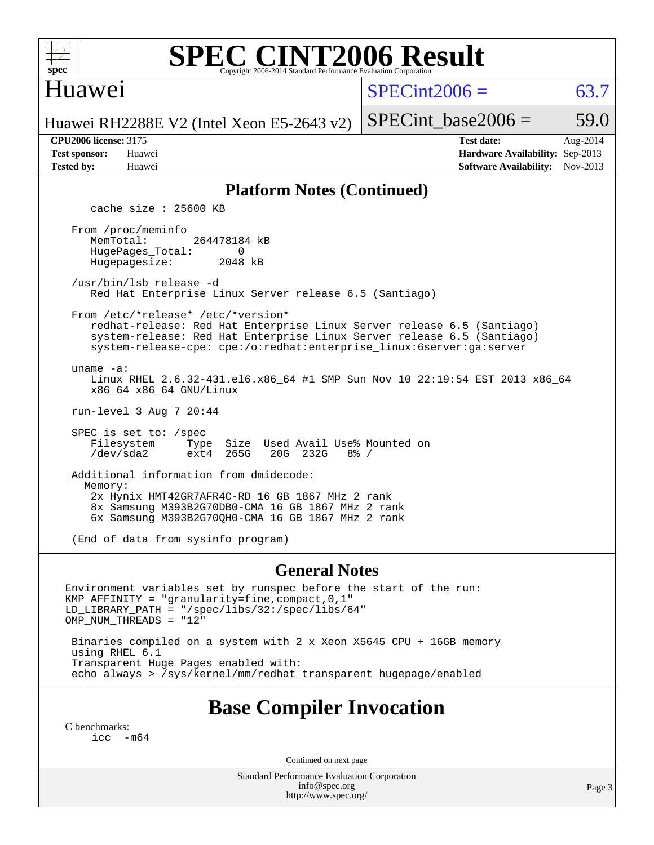

# **[SPEC CINT2006 Result](http://www.spec.org/auto/cpu2006/Docs/result-fields.html#SPECCINT2006Result)**

### Huawei

 $SPECint2006 = 63.7$  $SPECint2006 = 63.7$ 

Huawei RH2288E V2 (Intel Xeon E5-2643 v2)

| л слово песное. Эттэ |        |
|----------------------|--------|
| est sponsor:         | Huawei |
| ested by:            | Huawei |

**[CPU2006 license:](http://www.spec.org/auto/cpu2006/Docs/result-fields.html#CPU2006license)** 3175 **[Test date:](http://www.spec.org/auto/cpu2006/Docs/result-fields.html#Testdate)** Aug-2014 **[Test sponsor:](http://www.spec.org/auto/cpu2006/Docs/result-fields.html#Testsponsor)** Huawei **[Hardware Availability:](http://www.spec.org/auto/cpu2006/Docs/result-fields.html#HardwareAvailability)** Sep-2013 **[Tested by:](http://www.spec.org/auto/cpu2006/Docs/result-fields.html#Testedby)** Huawei **[Software Availability:](http://www.spec.org/auto/cpu2006/Docs/result-fields.html#SoftwareAvailability)** Nov-2013

SPECint base2006 =  $59.0$ 

#### **[Platform Notes \(Continued\)](http://www.spec.org/auto/cpu2006/Docs/result-fields.html#PlatformNotes)**

cache size : 25600 KB

 From /proc/meminfo MemTotal: 264478184 kB HugePages\_Total: 0<br>Hugepagesize: 2048 kB Hugepagesize:

 /usr/bin/lsb\_release -d Red Hat Enterprise Linux Server release 6.5 (Santiago)

From /etc/\*release\* /etc/\*version\*

 redhat-release: Red Hat Enterprise Linux Server release 6.5 (Santiago) system-release: Red Hat Enterprise Linux Server release 6.5 (Santiago) system-release-cpe: cpe:/o:redhat:enterprise\_linux:6server:ga:server

uname -a:

 Linux RHEL 2.6.32-431.el6.x86\_64 #1 SMP Sun Nov 10 22:19:54 EST 2013 x86\_64 x86\_64 x86\_64 GNU/Linux

run-level 3 Aug 7 20:44

 SPEC is set to: /spec Filesystem Type Size Used Avail Use% Mounted on<br>
/dev/sda2 ext4 265G 20G 232G 8% / /dev/sda2 ext4 265G 20G 232G 8% /

 Additional information from dmidecode: Memory: 2x Hynix HMT42GR7AFR4C-RD 16 GB 1867 MHz 2 rank 8x Samsung M393B2G70DB0-CMA 16 GB 1867 MHz 2 rank 6x Samsung M393B2G70QH0-CMA 16 GB 1867 MHz 2 rank

(End of data from sysinfo program)

#### **[General Notes](http://www.spec.org/auto/cpu2006/Docs/result-fields.html#GeneralNotes)**

Environment variables set by runspec before the start of the run: KMP\_AFFINITY = "granularity=fine,compact,0,1" LD\_LIBRARY\_PATH = "/spec/libs/32:/spec/libs/64" OMP\_NUM\_THREADS = "12"

 Binaries compiled on a system with 2 x Xeon X5645 CPU + 16GB memory using RHEL 6.1 Transparent Huge Pages enabled with: echo always > /sys/kernel/mm/redhat\_transparent\_hugepage/enabled

# **[Base Compiler Invocation](http://www.spec.org/auto/cpu2006/Docs/result-fields.html#BaseCompilerInvocation)**

[C benchmarks](http://www.spec.org/auto/cpu2006/Docs/result-fields.html#Cbenchmarks): [icc -m64](http://www.spec.org/cpu2006/results/res2014q3/cpu2006-20140820-30974.flags.html#user_CCbase_intel_icc_64bit_f346026e86af2a669e726fe758c88044)

Continued on next page

Standard Performance Evaluation Corporation [info@spec.org](mailto:info@spec.org) <http://www.spec.org/>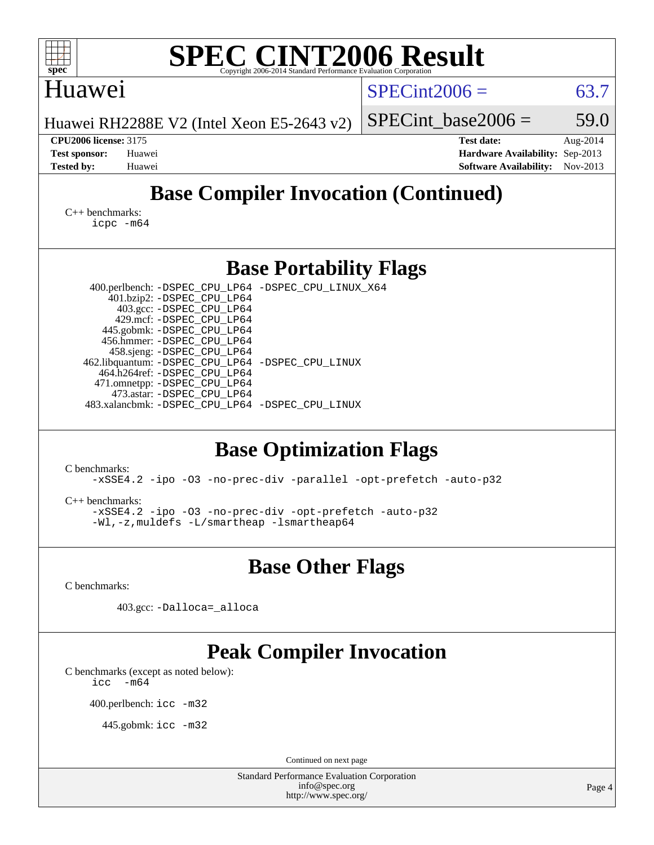| <b>SPEC CINT2006 Result</b><br>$spec^*$<br>Copyright 2006-2014 Standard Performance Evaluation Corporation                                                                                                                                                                                                                                                                                                                                                                                                                                                         |                                                                                       |                      |
|--------------------------------------------------------------------------------------------------------------------------------------------------------------------------------------------------------------------------------------------------------------------------------------------------------------------------------------------------------------------------------------------------------------------------------------------------------------------------------------------------------------------------------------------------------------------|---------------------------------------------------------------------------------------|----------------------|
| Huawei                                                                                                                                                                                                                                                                                                                                                                                                                                                                                                                                                             | $SPECint2006 =$                                                                       | 63.7                 |
| Huawei RH2288E V2 (Intel Xeon E5-2643 v2)                                                                                                                                                                                                                                                                                                                                                                                                                                                                                                                          | $SPECint base2006 =$                                                                  | 59.0                 |
| <b>CPU2006 license: 3175</b><br><b>Test sponsor:</b><br>Huawei<br><b>Tested by:</b><br>Huawei                                                                                                                                                                                                                                                                                                                                                                                                                                                                      | <b>Test date:</b><br>Hardware Availability: Sep-2013<br><b>Software Availability:</b> | Aug-2014<br>Nov-2013 |
| <b>Base Compiler Invocation (Continued)</b>                                                                                                                                                                                                                                                                                                                                                                                                                                                                                                                        |                                                                                       |                      |
| $C_{++}$ benchmarks:<br>icpc -m64                                                                                                                                                                                                                                                                                                                                                                                                                                                                                                                                  |                                                                                       |                      |
| <b>Base Portability Flags</b>                                                                                                                                                                                                                                                                                                                                                                                                                                                                                                                                      |                                                                                       |                      |
| 400.perlbench: -DSPEC_CPU_LP64 -DSPEC_CPU_LINUX_X64<br>401.bzip2: -DSPEC_CPU_LP64<br>403.gcc: -DSPEC_CPU_LP64<br>429.mcf: -DSPEC_CPU_LP64<br>445.gobmk: -DSPEC_CPU_LP64<br>456.hmmer: -DSPEC_CPU_LP64<br>458.sjeng: - DSPEC_CPU_LP64<br>462.libquantum: - DSPEC_CPU_LP64 - DSPEC_CPU_LINUX<br>464.h264ref: -DSPEC_CPU_LP64<br>471.omnetpp: -DSPEC_CPU_LP64<br>473.astar: -DSPEC CPU LP64<br>483.xalancbmk: -DSPEC_CPU_LP64 -DSPEC_CPU_LINUX<br><b>Base Optimization Flags</b><br>C benchmarks:<br>-xSSE4.2 -ipo -03 -no-prec-div -parallel -opt-prefetch -auto-p32 |                                                                                       |                      |
| $C++$ benchmarks:<br>-xSSE4.2 -ipo -03 -no-prec-div -opt-prefetch -auto-p32<br>-Wl,-z, muldefs -L/smartheap -lsmartheap64                                                                                                                                                                                                                                                                                                                                                                                                                                          |                                                                                       |                      |
| <b>Base Other Flags</b>                                                                                                                                                                                                                                                                                                                                                                                                                                                                                                                                            |                                                                                       |                      |
| C benchmarks:                                                                                                                                                                                                                                                                                                                                                                                                                                                                                                                                                      |                                                                                       |                      |
| 403.gcc: -Dalloca=_alloca                                                                                                                                                                                                                                                                                                                                                                                                                                                                                                                                          |                                                                                       |                      |
| <b>Peak Compiler Invocation</b><br>C benchmarks (except as noted below):<br>$-m64$<br>icc<br>400.perlbench: icc -m32<br>445.gobmk: icc -m32                                                                                                                                                                                                                                                                                                                                                                                                                        |                                                                                       |                      |
| Continued on next page<br><b>Standard Performance Evaluation Corporation</b>                                                                                                                                                                                                                                                                                                                                                                                                                                                                                       |                                                                                       |                      |
| info@spec.org<br>http://www.spec.org/                                                                                                                                                                                                                                                                                                                                                                                                                                                                                                                              |                                                                                       | Page 4               |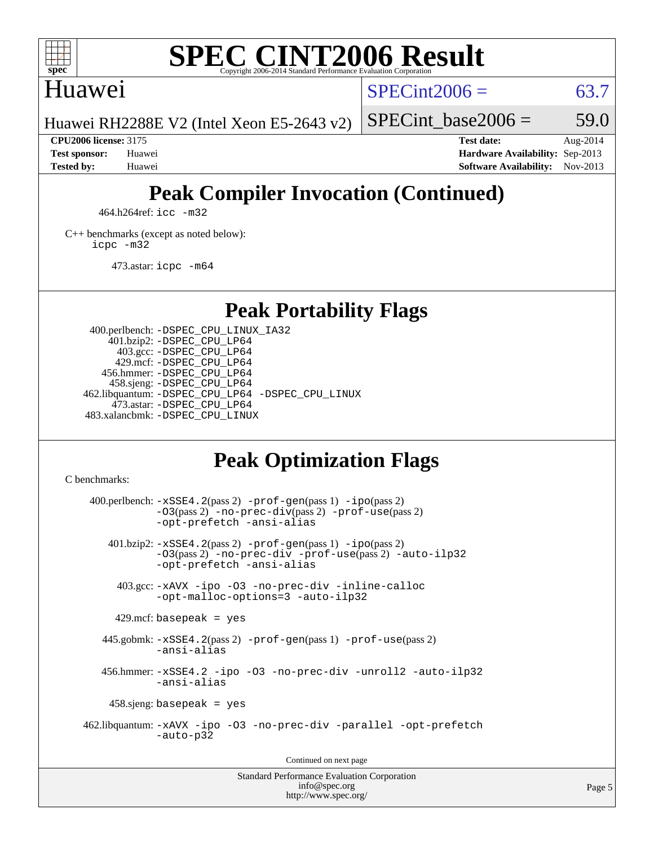

# **[SPEC CINT2006 Result](http://www.spec.org/auto/cpu2006/Docs/result-fields.html#SPECCINT2006Result)**

# Huawei

 $SPECint2006 = 63.7$  $SPECint2006 = 63.7$ 

Huawei RH2288E V2 (Intel Xeon E5-2643 v2)

SPECint base2006 =  $59.0$ **[CPU2006 license:](http://www.spec.org/auto/cpu2006/Docs/result-fields.html#CPU2006license)** 3175 **[Test date:](http://www.spec.org/auto/cpu2006/Docs/result-fields.html#Testdate)** Aug-2014

**[Test sponsor:](http://www.spec.org/auto/cpu2006/Docs/result-fields.html#Testsponsor)** Huawei **[Hardware Availability:](http://www.spec.org/auto/cpu2006/Docs/result-fields.html#HardwareAvailability)** Sep-2013 **[Tested by:](http://www.spec.org/auto/cpu2006/Docs/result-fields.html#Testedby)** Huawei **[Software Availability:](http://www.spec.org/auto/cpu2006/Docs/result-fields.html#SoftwareAvailability)** Nov-2013

# **[Peak Compiler Invocation \(Continued\)](http://www.spec.org/auto/cpu2006/Docs/result-fields.html#PeakCompilerInvocation)**

464.h264ref: [icc -m32](http://www.spec.org/cpu2006/results/res2014q3/cpu2006-20140820-30974.flags.html#user_peakCCLD464_h264ref_intel_icc_a6a621f8d50482236b970c6ac5f55f93)

[C++ benchmarks \(except as noted below\):](http://www.spec.org/auto/cpu2006/Docs/result-fields.html#CXXbenchmarksexceptasnotedbelow) [icpc -m32](http://www.spec.org/cpu2006/results/res2014q3/cpu2006-20140820-30974.flags.html#user_CXXpeak_intel_icpc_4e5a5ef1a53fd332b3c49e69c3330699)

473.astar: [icpc -m64](http://www.spec.org/cpu2006/results/res2014q3/cpu2006-20140820-30974.flags.html#user_peakCXXLD473_astar_intel_icpc_64bit_fc66a5337ce925472a5c54ad6a0de310)

# **[Peak Portability Flags](http://www.spec.org/auto/cpu2006/Docs/result-fields.html#PeakPortabilityFlags)**

 400.perlbench: [-DSPEC\\_CPU\\_LINUX\\_IA32](http://www.spec.org/cpu2006/results/res2014q3/cpu2006-20140820-30974.flags.html#b400.perlbench_peakCPORTABILITY_DSPEC_CPU_LINUX_IA32) 401.bzip2: [-DSPEC\\_CPU\\_LP64](http://www.spec.org/cpu2006/results/res2014q3/cpu2006-20140820-30974.flags.html#suite_peakPORTABILITY401_bzip2_DSPEC_CPU_LP64) 403.gcc: [-DSPEC\\_CPU\\_LP64](http://www.spec.org/cpu2006/results/res2014q3/cpu2006-20140820-30974.flags.html#suite_peakPORTABILITY403_gcc_DSPEC_CPU_LP64) 429.mcf: [-DSPEC\\_CPU\\_LP64](http://www.spec.org/cpu2006/results/res2014q3/cpu2006-20140820-30974.flags.html#suite_peakPORTABILITY429_mcf_DSPEC_CPU_LP64) 456.hmmer: [-DSPEC\\_CPU\\_LP64](http://www.spec.org/cpu2006/results/res2014q3/cpu2006-20140820-30974.flags.html#suite_peakPORTABILITY456_hmmer_DSPEC_CPU_LP64) 458.sjeng: [-DSPEC\\_CPU\\_LP64](http://www.spec.org/cpu2006/results/res2014q3/cpu2006-20140820-30974.flags.html#suite_peakPORTABILITY458_sjeng_DSPEC_CPU_LP64) 462.libquantum: [-DSPEC\\_CPU\\_LP64](http://www.spec.org/cpu2006/results/res2014q3/cpu2006-20140820-30974.flags.html#suite_peakPORTABILITY462_libquantum_DSPEC_CPU_LP64) [-DSPEC\\_CPU\\_LINUX](http://www.spec.org/cpu2006/results/res2014q3/cpu2006-20140820-30974.flags.html#b462.libquantum_peakCPORTABILITY_DSPEC_CPU_LINUX) 473.astar: [-DSPEC\\_CPU\\_LP64](http://www.spec.org/cpu2006/results/res2014q3/cpu2006-20140820-30974.flags.html#suite_peakPORTABILITY473_astar_DSPEC_CPU_LP64) 483.xalancbmk: [-DSPEC\\_CPU\\_LINUX](http://www.spec.org/cpu2006/results/res2014q3/cpu2006-20140820-30974.flags.html#b483.xalancbmk_peakCXXPORTABILITY_DSPEC_CPU_LINUX)

# **[Peak Optimization Flags](http://www.spec.org/auto/cpu2006/Docs/result-fields.html#PeakOptimizationFlags)**

[C benchmarks](http://www.spec.org/auto/cpu2006/Docs/result-fields.html#Cbenchmarks):

 $400.$ perlbench:  $-xSSE4$ .  $2(pass 2)$  -prof-qen(pass 1) [-ipo](http://www.spec.org/cpu2006/results/res2014q3/cpu2006-20140820-30974.flags.html#user_peakPASS2_CFLAGSPASS2_LDCFLAGS400_perlbench_f-ipo)(pass 2) [-O3](http://www.spec.org/cpu2006/results/res2014q3/cpu2006-20140820-30974.flags.html#user_peakPASS2_CFLAGSPASS2_LDCFLAGS400_perlbench_f-O3)(pass 2) [-no-prec-div](http://www.spec.org/cpu2006/results/res2014q3/cpu2006-20140820-30974.flags.html#user_peakPASS2_CFLAGSPASS2_LDCFLAGS400_perlbench_f-no-prec-div)(pass 2) [-prof-use](http://www.spec.org/cpu2006/results/res2014q3/cpu2006-20140820-30974.flags.html#user_peakPASS2_CFLAGSPASS2_LDCFLAGS400_perlbench_prof_use_bccf7792157ff70d64e32fe3e1250b55)(pass 2) [-opt-prefetch](http://www.spec.org/cpu2006/results/res2014q3/cpu2006-20140820-30974.flags.html#user_peakCOPTIMIZE400_perlbench_f-opt-prefetch) [-ansi-alias](http://www.spec.org/cpu2006/results/res2014q3/cpu2006-20140820-30974.flags.html#user_peakCOPTIMIZE400_perlbench_f-ansi-alias) 401.bzip2: [-xSSE4.2](http://www.spec.org/cpu2006/results/res2014q3/cpu2006-20140820-30974.flags.html#user_peakPASS2_CFLAGSPASS2_LDCFLAGS401_bzip2_f-xSSE42_f91528193cf0b216347adb8b939d4107)(pass 2) [-prof-gen](http://www.spec.org/cpu2006/results/res2014q3/cpu2006-20140820-30974.flags.html#user_peakPASS1_CFLAGSPASS1_LDCFLAGS401_bzip2_prof_gen_e43856698f6ca7b7e442dfd80e94a8fc)(pass 1) [-ipo](http://www.spec.org/cpu2006/results/res2014q3/cpu2006-20140820-30974.flags.html#user_peakPASS2_CFLAGSPASS2_LDCFLAGS401_bzip2_f-ipo)(pass 2) [-O3](http://www.spec.org/cpu2006/results/res2014q3/cpu2006-20140820-30974.flags.html#user_peakPASS2_CFLAGSPASS2_LDCFLAGS401_bzip2_f-O3)(pass 2) [-no-prec-div](http://www.spec.org/cpu2006/results/res2014q3/cpu2006-20140820-30974.flags.html#user_peakCOPTIMIZEPASS2_CFLAGSPASS2_LDCFLAGS401_bzip2_f-no-prec-div) [-prof-use](http://www.spec.org/cpu2006/results/res2014q3/cpu2006-20140820-30974.flags.html#user_peakPASS2_CFLAGSPASS2_LDCFLAGS401_bzip2_prof_use_bccf7792157ff70d64e32fe3e1250b55)(pass 2) [-auto-ilp32](http://www.spec.org/cpu2006/results/res2014q3/cpu2006-20140820-30974.flags.html#user_peakCOPTIMIZE401_bzip2_f-auto-ilp32) [-opt-prefetch](http://www.spec.org/cpu2006/results/res2014q3/cpu2006-20140820-30974.flags.html#user_peakCOPTIMIZE401_bzip2_f-opt-prefetch) [-ansi-alias](http://www.spec.org/cpu2006/results/res2014q3/cpu2006-20140820-30974.flags.html#user_peakCOPTIMIZE401_bzip2_f-ansi-alias) 403.gcc: [-xAVX](http://www.spec.org/cpu2006/results/res2014q3/cpu2006-20140820-30974.flags.html#user_peakCOPTIMIZE403_gcc_f-xAVX) [-ipo](http://www.spec.org/cpu2006/results/res2014q3/cpu2006-20140820-30974.flags.html#user_peakCOPTIMIZE403_gcc_f-ipo) [-O3](http://www.spec.org/cpu2006/results/res2014q3/cpu2006-20140820-30974.flags.html#user_peakCOPTIMIZE403_gcc_f-O3) [-no-prec-div](http://www.spec.org/cpu2006/results/res2014q3/cpu2006-20140820-30974.flags.html#user_peakCOPTIMIZE403_gcc_f-no-prec-div) [-inline-calloc](http://www.spec.org/cpu2006/results/res2014q3/cpu2006-20140820-30974.flags.html#user_peakCOPTIMIZE403_gcc_f-inline-calloc) [-opt-malloc-options=3](http://www.spec.org/cpu2006/results/res2014q3/cpu2006-20140820-30974.flags.html#user_peakCOPTIMIZE403_gcc_f-opt-malloc-options_13ab9b803cf986b4ee62f0a5998c2238) [-auto-ilp32](http://www.spec.org/cpu2006/results/res2014q3/cpu2006-20140820-30974.flags.html#user_peakCOPTIMIZE403_gcc_f-auto-ilp32)  $429$ .mcf: basepeak = yes 445.gobmk: [-xSSE4.2](http://www.spec.org/cpu2006/results/res2014q3/cpu2006-20140820-30974.flags.html#user_peakPASS2_CFLAGSPASS2_LDCFLAGS445_gobmk_f-xSSE42_f91528193cf0b216347adb8b939d4107)(pass 2) [-prof-gen](http://www.spec.org/cpu2006/results/res2014q3/cpu2006-20140820-30974.flags.html#user_peakPASS1_CFLAGSPASS1_LDCFLAGS445_gobmk_prof_gen_e43856698f6ca7b7e442dfd80e94a8fc)(pass 1) [-prof-use](http://www.spec.org/cpu2006/results/res2014q3/cpu2006-20140820-30974.flags.html#user_peakPASS2_CFLAGSPASS2_LDCFLAGS445_gobmk_prof_use_bccf7792157ff70d64e32fe3e1250b55)(pass 2) [-ansi-alias](http://www.spec.org/cpu2006/results/res2014q3/cpu2006-20140820-30974.flags.html#user_peakCOPTIMIZE445_gobmk_f-ansi-alias) 456.hmmer: [-xSSE4.2](http://www.spec.org/cpu2006/results/res2014q3/cpu2006-20140820-30974.flags.html#user_peakCOPTIMIZE456_hmmer_f-xSSE42_f91528193cf0b216347adb8b939d4107) [-ipo](http://www.spec.org/cpu2006/results/res2014q3/cpu2006-20140820-30974.flags.html#user_peakCOPTIMIZE456_hmmer_f-ipo) [-O3](http://www.spec.org/cpu2006/results/res2014q3/cpu2006-20140820-30974.flags.html#user_peakCOPTIMIZE456_hmmer_f-O3) [-no-prec-div](http://www.spec.org/cpu2006/results/res2014q3/cpu2006-20140820-30974.flags.html#user_peakCOPTIMIZE456_hmmer_f-no-prec-div) [-unroll2](http://www.spec.org/cpu2006/results/res2014q3/cpu2006-20140820-30974.flags.html#user_peakCOPTIMIZE456_hmmer_f-unroll_784dae83bebfb236979b41d2422d7ec2) [-auto-ilp32](http://www.spec.org/cpu2006/results/res2014q3/cpu2006-20140820-30974.flags.html#user_peakCOPTIMIZE456_hmmer_f-auto-ilp32) [-ansi-alias](http://www.spec.org/cpu2006/results/res2014q3/cpu2006-20140820-30974.flags.html#user_peakCOPTIMIZE456_hmmer_f-ansi-alias) 458.sjeng: basepeak = yes 462.libquantum: [-xAVX](http://www.spec.org/cpu2006/results/res2014q3/cpu2006-20140820-30974.flags.html#user_peakCOPTIMIZE462_libquantum_f-xAVX) [-ipo](http://www.spec.org/cpu2006/results/res2014q3/cpu2006-20140820-30974.flags.html#user_peakCOPTIMIZE462_libquantum_f-ipo) [-O3](http://www.spec.org/cpu2006/results/res2014q3/cpu2006-20140820-30974.flags.html#user_peakCOPTIMIZE462_libquantum_f-O3) [-no-prec-div](http://www.spec.org/cpu2006/results/res2014q3/cpu2006-20140820-30974.flags.html#user_peakCOPTIMIZE462_libquantum_f-no-prec-div) [-parallel](http://www.spec.org/cpu2006/results/res2014q3/cpu2006-20140820-30974.flags.html#user_peakCOPTIMIZE462_libquantum_f-parallel) [-opt-prefetch](http://www.spec.org/cpu2006/results/res2014q3/cpu2006-20140820-30974.flags.html#user_peakCOPTIMIZE462_libquantum_f-opt-prefetch) [-auto-p32](http://www.spec.org/cpu2006/results/res2014q3/cpu2006-20140820-30974.flags.html#user_peakCOPTIMIZE462_libquantum_f-auto-p32) Continued on next page

Standard Performance Evaluation Corporation [info@spec.org](mailto:info@spec.org) <http://www.spec.org/>